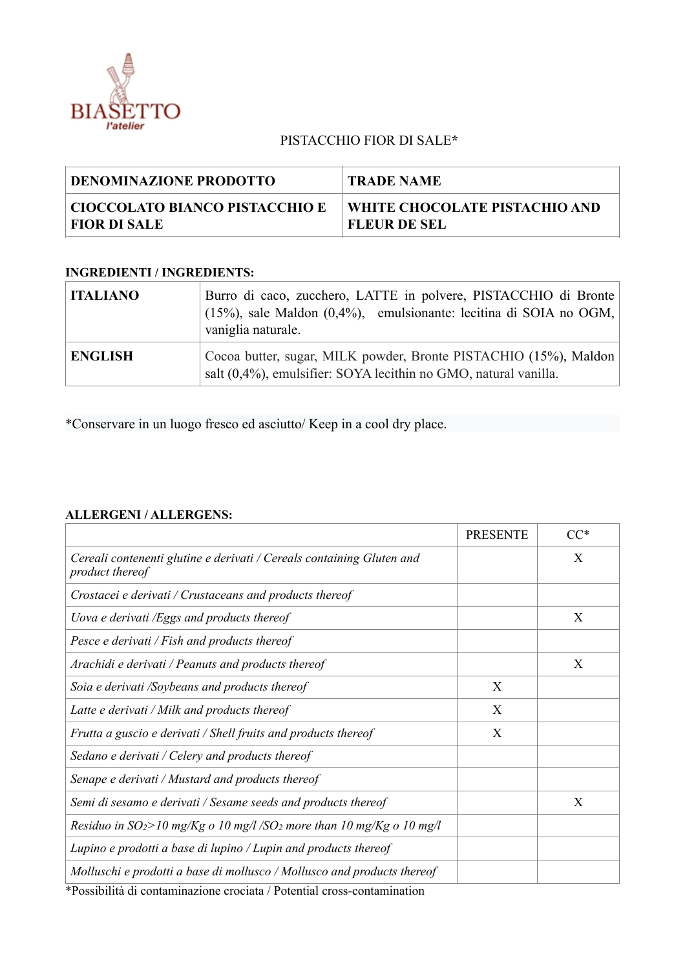

## PISTACCHIO FIOR DI SALE**\***

| <b>DENOMINAZIONE PRODOTTO</b>  | <b>TRADE NAME</b>             |
|--------------------------------|-------------------------------|
| CIOCCOLATO BIANCO PISTACCHIO E | WHITE CHOCOLATE PISTACHIO AND |
| <b>FIOR DI SALE</b>            | <b>FLEUR DE SEL</b>           |

## **INGREDIENTI / INGREDIENTS:**

| <b>ITALIANO</b> | Burro di caco, zucchero, LATTE in polvere, PISTACCHIO di Bronte<br>$(15\%)$ , sale Maldon $(0,4\%)$ , emulsionante: lecitina di SOIA no OGM,<br>vaniglia naturale. |
|-----------------|--------------------------------------------------------------------------------------------------------------------------------------------------------------------|
| <b>ENGLISH</b>  | Cocoa butter, sugar, MILK powder, Bronte PISTACHIO (15%), Maldon<br>salt (0,4%), emulsifier: SOYA lecithin no GMO, natural vanilla.                                |

\*Conservare in un luogo fresco ed asciutto/ Keep in a cool dry place.

## **ALLERGENI / ALLERGENS:**

|                                                                                                                                                                                                                                                                                                                                                   | <b>PRESENTE</b> | $CC*$ |
|---------------------------------------------------------------------------------------------------------------------------------------------------------------------------------------------------------------------------------------------------------------------------------------------------------------------------------------------------|-----------------|-------|
| Cereali contenenti glutine e derivati / Cereals containing Gluten and<br>product thereof                                                                                                                                                                                                                                                          |                 | X     |
| Crostacei e derivati / Crustaceans and products thereof                                                                                                                                                                                                                                                                                           |                 |       |
| Uova e derivati /Eggs and products thereof                                                                                                                                                                                                                                                                                                        |                 | X     |
| Pesce e derivati / Fish and products thereof                                                                                                                                                                                                                                                                                                      |                 |       |
| Arachidi e derivati / Peanuts and products thereof                                                                                                                                                                                                                                                                                                |                 | X     |
| Soia e derivati /Soybeans and products thereof                                                                                                                                                                                                                                                                                                    | X               |       |
| Latte e derivati / Milk and products thereof                                                                                                                                                                                                                                                                                                      | X               |       |
| Frutta a guscio e derivati / Shell fruits and products thereof                                                                                                                                                                                                                                                                                    | X               |       |
| Sedano e derivati / Celery and products thereof                                                                                                                                                                                                                                                                                                   |                 |       |
| Senape e derivati / Mustard and products thereof                                                                                                                                                                                                                                                                                                  |                 |       |
| Semi di sesamo e derivati / Sesame seeds and products thereof                                                                                                                                                                                                                                                                                     |                 | X     |
| Residuo in $SO_2$ >10 mg/Kg o 10 mg/l /SO <sub>2</sub> more than 10 mg/Kg o 10 mg/l                                                                                                                                                                                                                                                               |                 |       |
| Lupino e prodotti a base di lupino / Lupin and products thereof                                                                                                                                                                                                                                                                                   |                 |       |
| Molluschi e prodotti a base di mollusco / Mollusco and products thereof<br>$\mathbf{r}$ and $\mathbf{r}$ and $\mathbf{r}$ and $\mathbf{r}$ and $\mathbf{r}$ and $\mathbf{r}$ and $\mathbf{r}$ and $\mathbf{r}$<br>the state of the contract of the contract of the contract of the contract of the contract of the contract of the<br><b>JETA</b> |                 |       |

\*Possibilità di contaminazione crociata / Potential cross-contamination